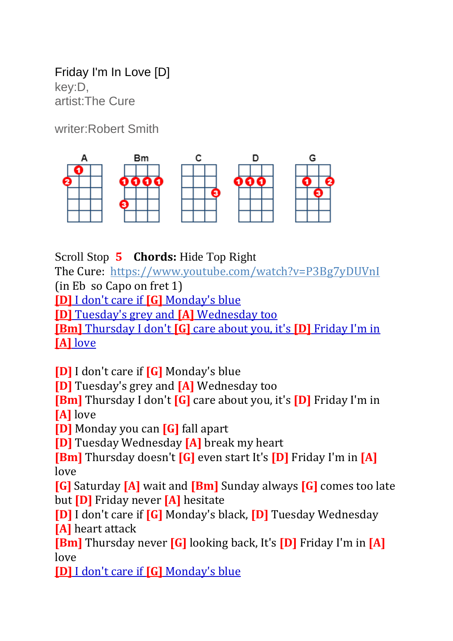Friday I'm In Love [D] key:D, artist:The Cure

writer:Robert Smith



Scroll Stop **5 Chords:** Hide Top Right

The Cure: <https://www.youtube.com/watch?v=P3Bg7yDUVnI> (in Eb so Capo on fret 1)

**[D]** I don't care if **[G]** Monday's blue

**[D]** Tuesday's grey and **[A]** Wednesday too

**[Bm]** Thursday I don't **[G]** care about you, it's **[D]** Friday I'm in **[A]** love

**[D]** I don't care if **[G]** Monday's blue

**[D]** Tuesday's grey and **[A]** Wednesday too

**[Bm]** Thursday I don't **[G]** care about you, it's **[D]** Friday I'm in **[A]** love

**[D]** Monday you can **[G]** fall apart

**[D]** Tuesday Wednesday **[A]** break my heart

**[Bm]** Thursday doesn't **[G]** even start It's **[D]** Friday I'm in **[A]** love

**[G]** Saturday **[A]** wait and **[Bm]** Sunday always **[G]** comes too late but **[D]** Friday never **[A]** hesitate

**[D]** I don't care if **[G]** Monday's black, **[D]** Tuesday Wednesday **[A]** heart attack

**[Bm]** Thursday never **[G]** looking back, It's **[D]** Friday I'm in **[A]** love

**[D]** I don't care if **[G]** Monday's blue